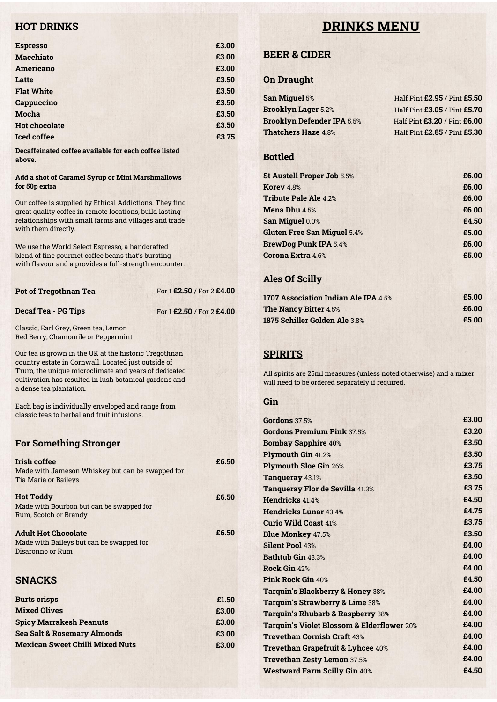# **HOT DRINKS**

# **DRINKS MENU**

| <b>Espresso</b>      | £3.00 |
|----------------------|-------|
| <b>Macchiato</b>     | £3.00 |
| Americano            | £3.00 |
| Latte                | £3.50 |
| <b>Flat White</b>    | £3.50 |
| Cappuccino           | £3.50 |
| Mocha                | £3.50 |
| <b>Hot chocolate</b> | £3.50 |
| <b>Iced coffee</b>   | £3.75 |
|                      |       |

**Decaffeinated coffee available for each coffee listed above.**

#### **Add a shot of Caramel Syrup or Mini Marshmallows for 50p extra**

Our coffee is supplied by Ethical Addictions. They find great quality coffee in remote locations, build lasting relationships with small farms and villages and trade with them directly.

We use the World Select Espresso, a handcrafted blend of fine gourmet coffee beans that's bursting with flavour and a provides a full-strength encounter.

| Pot of Tregothnan Tea | For 1 £2.50 / For 2 £4.00 |
|-----------------------|---------------------------|
|                       |                           |

#### **Decaf Tea - PG Tips**

For 1 **£2.50** / For 2 **£4.00**

Classic, Earl Grey, Green tea, Lemon Red Berry, Chamomile or Peppermint

Our tea is grown in the UK at the historic Tregothnan country estate in Cornwall. Located just outside of Truro, the unique microclimate and years of dedicated cultivation has resulted in lush botanical gardens and a dense tea plantation.

Each bag is individually enveloped and range from classic teas to herbal and fruit infusions.

#### **For Something Stronger**

| Irish coffee                                     | £6.50 |
|--------------------------------------------------|-------|
| Made with Jameson Whiskey but can be swapped for |       |
| <b>Tia Maria or Baileys</b>                      |       |
|                                                  |       |
| <b>Hot Toddy</b>                                 | £6.50 |
| Made with Bourbon but can be swapped for         |       |
| Rum, Scotch or Brandy                            |       |
| <b>Adult Hot Chocolate</b>                       | £6.50 |
| Made with Baileys but can be swapped for         |       |
| Disaronno or Rum                                 |       |
|                                                  |       |
|                                                  |       |
| <b>SNACKS</b>                                    |       |
|                                                  |       |
| <b>Burts crisps</b>                              | £1.50 |
| <b>Mixed Olives</b>                              | £3.00 |
| <b>Spicy Marrakesh Peanuts</b>                   | £3.00 |
| <b>Sea Salt &amp; Rosemary Almonds</b>           | £3.00 |
| <b>Mexican Sweet Chilli Mixed Nuts</b>           | £3.00 |

# **BEER & CIDER**

#### **On Draught**

| <b>San Miguel 5%</b>              | Half Pint £2.95 / Pint £5.50 |
|-----------------------------------|------------------------------|
| <b>Brooklyn Lager 5.2%</b>        | Half Pint £3.05 / Pint £5.70 |
| <b>Brooklyn Defender IPA 5.5%</b> | Half Pint £3.20 / Pint £6.00 |
| <b>Thatchers Haze 4.8%</b>        | Half Pint £2.85 / Pint £5.30 |

### **Bottled**

| St Austell Proper Job 5.5%         | £6.00 |
|------------------------------------|-------|
| Korey 4.8%                         | £6.00 |
| <b>Tribute Pale Ale 4.2%</b>       | £6.00 |
| <b>Mena Dhu 4.5%</b>               | £6.00 |
| San Miguel 0.0%                    | £4.50 |
| <b>Gluten Free San Miguel 5.4%</b> | £5.00 |
| <b>BrewDog Punk IPA 5.4%</b>       | £6.00 |
| Corona Extra 4.6%                  | £5.00 |
|                                    |       |

### **Ales Of Scilly**

| 1707 Association Indian Ale IPA 4.5% | £5.00 |
|--------------------------------------|-------|
| <b>The Nancy Bitter 4.5%</b>         | £6.00 |
| <b>1875 Schiller Golden Ale 3.8%</b> | £5.00 |

## **SPIRITS**

All spirits are 25ml measures (unless noted otherwise) and a mixer will need to be ordered separately if required.

#### **Gin**

**£3.00**

| <b>Gordons</b> 37.5%                                  | £3.00 |
|-------------------------------------------------------|-------|
| Gordons Premium Pink 37.5%                            | £3.20 |
| <b>Bombay Sapphire 40%</b>                            | £3.50 |
| <b>Plymouth Gin 41.2%</b>                             | £3.50 |
| <b>Plymouth Sloe Gin 26%</b>                          | £3.75 |
| Tanqueray 43.1%                                       | £3.50 |
| Tanqueray Flor de Sevilla 41.3%                       | £3.75 |
| Hendricks 41.4%                                       | £4.50 |
| <b>Hendricks Lunar 43 4%</b>                          | £4.75 |
| <b>Curio Wild Coast 41%</b>                           | £3.75 |
| <b>Blue Monkey 47.5%</b>                              | £3.50 |
| <b>Silent Pool 43%</b>                                | £4.00 |
| Bathtub Gin 43.3%                                     | £4.00 |
| Rock Gin 42%                                          | £4.00 |
| Pink Rock Gin 40%                                     | £4.50 |
| Tarquin's Blackberry & Honey 38%                      | £4.00 |
| <b>Tarquin's Strawberry &amp; Lime 38%</b>            | £4.00 |
| Tarquin's Rhubarb & Raspberry 38%                     | £4.00 |
| <b>Tarquin's Violet Blossom &amp; Elderflower 20%</b> | £4.00 |
| <b>Trevethan Cornish Craft 43%</b>                    | £4.00 |
| <b>Trevethan Grapefruit &amp; Lyhcee 40%</b>          | £4.00 |
| Trevethan Zesty Lemon 37.5%                           | £4.00 |
| <b>Westward Farm Scilly Gin 40%</b>                   | £4.50 |